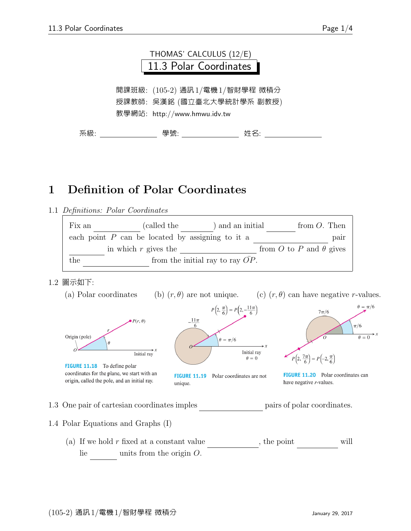

## 1 Definition of Polar Coordinates

1.1 Definitions: Polar Coordinates

| Fix an                                    | (called the                                        | ) and an initial |  | from $O$ . Then                |  |
|-------------------------------------------|----------------------------------------------------|------------------|--|--------------------------------|--|
|                                           | each point $P$ can be located by assigning to it a |                  |  | pair                           |  |
|                                           | in which $r$ gives the                             |                  |  | from O to P and $\theta$ gives |  |
| from the initial ray to ray $OP$ .<br>the |                                                    |                  |  |                                |  |

## 1.2 圖示如下:

(a) Polar coordinates (b)  $(r, \theta)$  are not unique. (c)  $(r, \theta)$  can have negative r-values.



1.3 One pair of cartesian coordinates imples pairs of polar coordinates.

1.4 Polar Equations and Graphs (I)

(a) If we hold  $r$  fixed at a constant value  $r$ , the point will  $lie$  units from the origin  $O$ .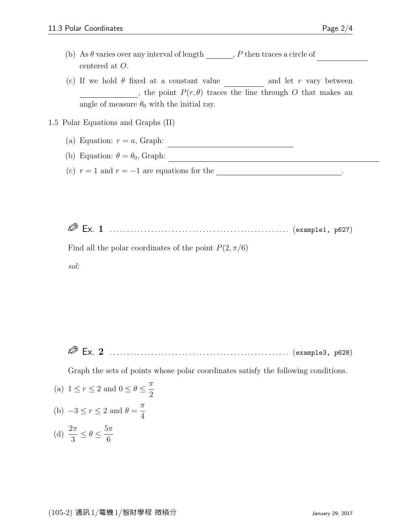- (b) As  $\theta$  varies over any interval of length  $\qquad \qquad P$  then traces a circle of centered at O.
- (c) If we hold  $\theta$  fixed at a constant value and let r vary between , the point  $P(r, \theta)$  traces the line through O that makes an angle of measure  $\theta_0$  with the initial ray.

1.5 Polar Equations and Graphs (II)

- (a) Equation:  $r = a$ , Graph:
- (b) Equation:  $\theta = \theta_0$ , Graph:
- (c)  $r = 1$  and  $r = -1$  are equations for the contract of radius 1 centered at O .

Ex. 1 . . . . . . . . . . . . . . . . . . . . . . . . . . . . . . . . . . . . . . . . . . . . . . . . . . . . (example1, p627)

Find all the polar coordinates of the point  $P(2, \pi/6)$ 

sol:

3

Ex. 2 . . . . . . . . . . . . . . . . . . . . . . . . . . . . . . . . . . . . . . . . . . . . . . . . . . . . (example3, p628)

Graph the sets of points whose polar coordinates satisfy the following conditions.

(a)  $1 \leq r \leq 2$  and  $0 \leq \theta \leq \frac{\pi}{2}$ 2 (b)  $-3 \le r \le 2$  and  $\theta = \frac{\pi}{4}$ 4 (d)  $\frac{2\pi}{2}$  $\leq \theta \leq \frac{5\pi}{c}$ 

6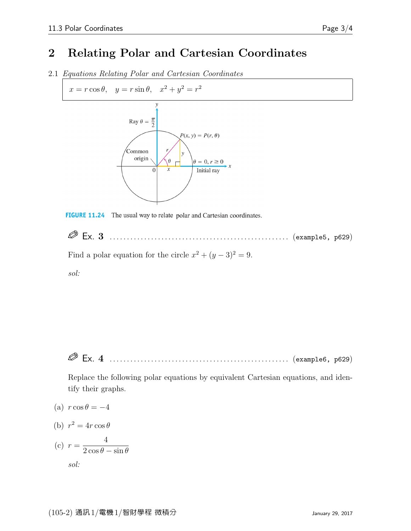## 2 Relating Polar and Cartesian Coordinates

2.1 Equations Relating Polar and Cartesian Coordinates

 $x = r \cos \theta$ ,  $y = r \sin \theta$ ,  $x^2 + y^2 = r^2$ 





 Ex. 3 . . . . . . . . . . . . . . . . . . . . . . . . . . . . . . . . . . . . . . . . . . . . . . . . . . . . (example5, p629) Find a polar equation for the circle  $x^2 + (y - 3)^2 = 9$ . sol:

Ex. 4 . . . . . . . . . . . . . . . . . . . . . . . . . . . . . . . . . . . . . . . . . . . . . . . . . . . . (example6, p629)

Replace the following polar equations by equivalent Cartesian equations, and identify their graphs.

- (a)  $r \cos \theta = -4$
- (b)  $r^2 = 4r \cos \theta$ 4
- $(c)$   $r =$  $2\cos\theta - \sin\theta$ sol: